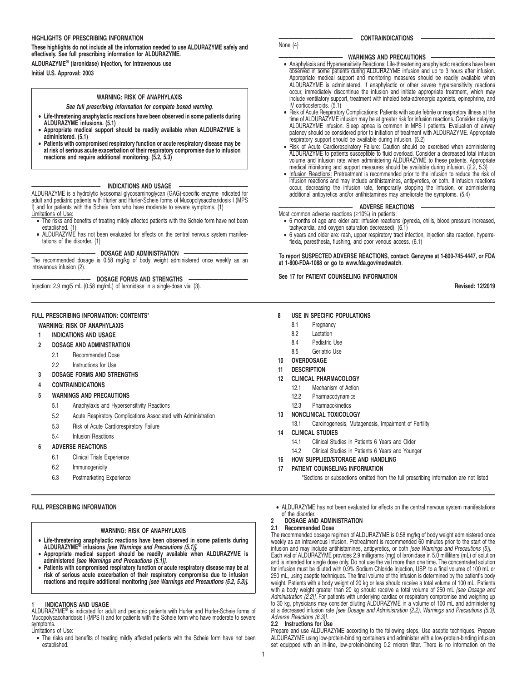### **HIGHLIGHTS OF PRESCRIBING INFORMATION**

# **These highlights do not include all the information needed to use ALDURAZYME safely and effectively. See full prescribing information for ALDURAZYME.**

**ALDURAZYME® (laronidase) injection, for intravenous use Initial U.S. Approval: 2003**

### **WARNING: RISK OF ANAPHYLAXIS**

**See full prescribing information for complete boxed warning**.

- **Life-threatening anaphylactic reactions have been observed in some patients during ALDURAZYME infusions. (5.1)**
- **Appropriate medical support should be readily available when ALDURAZYME is administered. (5.1)**
- **Patients with compromised respiratory function or acute respiratory disease may be at risk of serious acute exacerbation of their respiratory compromise due to infusion reactions and require additional monitoring. (5.2, 5.3)**

# **—————————————— INDICATIONS AND USAGE ——————————————**

ALDURAZYME is a hydrolytic lysosomal glycosaminoglycan (GAG)-specific enzyme indicated for adult and pediatric patients with Hurler and Hurler-Scheie forms of Mucopolysaccharidosis I (MPS I) and for patients with the Scheie form who have moderate to severe symptoms. (1) Limitations of Use:

- The risks and benefits of treating mildly affected patients with the Scheie form have not been
- established. (1) ALDURAZYME has not been evaluated for effects on the central nervous system manifestations of the disorder. (1)

# DOSAGE AND ADMINISTRATION

The recommended dosage is 0.58 mg/kg of body weight administered once weekly as an intravenous infusion (2).

DOSAGE FORMS AND STRENGTHS Injection: 2.9 mg/5 mL (0.58 mg/mL) of laronidase in a single-dose vial (3).

# **FULL PRESCRIBING INFORMATION: CONTENTS**\*

# **WARNING: RISK OF ANAPHYLAXIS**

- **1 INDICATIONS AND USAGE**
- **2 DOSAGE AND ADMINISTRATION**
	- 2.1 Recommended Dose
	- 2.2 Instructions for Use
- **3 DOSAGE FORMS AND STRENGTHS**
- **4 CONTRAINDICATIONS**
- **5 WARNINGS AND PRECAUTIONS**
	- 5.1 Anaphylaxis and Hypersensitivity Reactions
	- 5.2 Acute Respiratory Complications Associated with Administration
	- 5.3 Risk of Acute Cardiorespiratory Failure
	- 5.4 Infusion Reactions

# **6 ADVERSE REACTIONS**

- 6.1 Clinical Trials Experience
- 6.2 Immunogenicity
- 6.3 Postmarketing Experience

# **FULL PRESCRIBING INFORMATION**

### **WARNING: RISK OF ANAPHYLAXIS**

- **Life-threatening anaphylactic reactions have been observed in some patients during ALDURAZYME® infusions [see Warnings and Precautions (5.1)].**
- **Appropriate medical support should be readily available when ALDURAZYME is**
- administered [see Warnings and Precautions (5.1)].<br>• Patients with compromised respiratory function or acute respiratory disease may be at<br>risk of serious acute exacerbation of their respiratory compromise due to infusion<br>

### **1 INDICATIONS AND USAGE**

ALDURAZYME**®** is indicated for adult and pediatric patients with Hurler and Hurler-Scheie forms of Mucopolysaccharidosis I (MPS I) and for patients with the Scheie form who have moderate to severe symptoms.

Limitations of Use:

• The risks and benefits of treating mildly affected patients with the Scheie form have not been established.

# None (4)

# CONTRAINDICATIONS

# **WARNINGS AND PRECAUTIONS**

- Anaphylaxis and Hypersensitivity Reactions: Life-threatening anaphylactic reactions have been observed in some patients during ALDURAZYME infusion and up to 3 hours after infusion. Appropriate medical support and monitoring measures should be readily available when ALDURAZYME is administered. If anaphylactic or other severe hypersensitivity reactions occur, immediately discontinue the infusion and initiate appropriate treatment, which may include ventilatory support, treatment with inhaled beta-adrenergic agonists, epinephrine, and IV corticosteroids. (5.1)
- Risk of Acute Respiratory Complications: Patients with acute febrile or respiratory illness at the time of ALDURAZYME infusion may be at greater risk for infusion reactions. Consider delaying ALDURAZYME infusion. Sleep apnea is common in MPS I patients. Evaluation of airway patency should be considered prior to initiation of treatment with ALDURAZYME. Appropriate respiratory support should be available during infusion. (5.2)
- Risk of Acute Cardiorespiratory Failure: Caution should be exercised when administering ALDURAZYME to patients susceptible to fluid overload. Consider a decreased total infusion volume and infusion rate when administering ALDURAZYME to these patients. Appropriate medical monitoring and support measures should be available during infusion. (2.2, 5.3)
- Infusion Reactions: Pretreatment is recommended prior to the infusion to reduce the risk of infusion reactions and may include antihistamines, antipyretics, or both. If infusion reactions occur, decreasing the infusion rate, temporarily stopping the infusion, or administering additional antipyretics and/or antihistamines may ameliorate the symptoms. (5.4)

### **ADVERSE REACTIONS**

- Most common adverse reactions (≥10%) in patients: • 6 months of age and older are: infusion reactions (pyrexia, chills, blood pressure increased,
- tachycardia, and oxygen saturation decreased). (6.1) • 6 years and older are: rash, upper respiratory tract infection, injection site reaction, hyperre-
- flexia, paresthesia, flushing, and poor venous access. (6.1)

**To report SUSPECTED ADVERSE REACTIONS, contact: Genzyme at 1-800-745-4447, or FDA at 1-800-FDA-1088 or go to www.fda.gov/medwatch**.

**See 17 for PATIENT COUNSELING INFORMATION**

**Revised: 12/2019**

### **8 USE IN SPECIFIC POPULATIONS**

- 8.1 Pregnancy
- 8.2 Lactation
- 8.4 Pediatric Use
- 8.5 Geriatric Use
- **10 OVERDOSAGE**
- **11 DESCRIPTION**
- **12 CLINICAL PHARMACOLOGY**
	- 12.1 Mechanism of Action
	- 12.2 Pharmacodynamics
	- 12.3 Pharmacokinetics
- **13 NONCLINICAL TOXICOLOGY**
	- 13.1 Carcinogenesis, Mutagenesis, Impairment of Fertility

### **14 CLINICAL STUDIES**

- 14.1 Clinical Studies in Patients 6 Years and Older
- 14.2 Clinical Studies in Patients 6 Years and Younger
- **16 HOW SUPPLIED/STORAGE AND HANDLING**
- **17 PATIENT COUNSELING INFORMATION**

\*Sections or subsections omitted from the full prescribing information are not listed

• ALDURAZYME has not been evaluated for effects on the central nervous system manifestations of the disorder.

# **2 DOSAGE AND ADMINISTRATION**

# **2.1 Recommended Dose**

The recommended dosage regimen of ALDURAZYME is 0.58 mg/kg of body weight administered once weekly as an intravenous infusion. Pretreatment is recommended 60 minutes prior to the start of the infusion and may include antihistamines, antipyretics, or both [see Warnings and Precautions (5)]. Each vial of ALDURAZYME provides 2.9 milligrams (mg) of laronidase in 5.0 milliliters (mL) of solution and is intended for single dose only. Do not use the vial more than one time. The concentrated solution for infusion must be diluted with 0.9% Sodium Chloride Injection, USP, to a final volume of 100 mL or 250 mL, using aseptic techniques. The final volume of the infusion is determined by the patient's body weight. Patients with a body weight of 20 kg or less should receive a total volume of 100 mL. Patients with a body weight greater than 20 kg should receive a total volume of 250 mL [see Dosage and A*dministration (2.2)].* For patients with underlying cardiac or respiratory compromise and weighing up<br>to 30 kg, physicians may consider diluting ALDURAZYME in a volume of 100 mL and administering at a decreased infusion rate [see Dosage and Administration (2.2), Warnings and Precautions (5.3), Adverse Reactions (6.3)].

# **2.2 Instructions for Use**

Prepare and use ALDURAZYME according to the following steps. Use aseptic techniques. Prepare ALDURAZYME using low-protein-binding containers and administer with a low-protein-binding infusion set equipped with an in-line, low-protein-binding 0.2 micron filter. There is no information on the

- 
-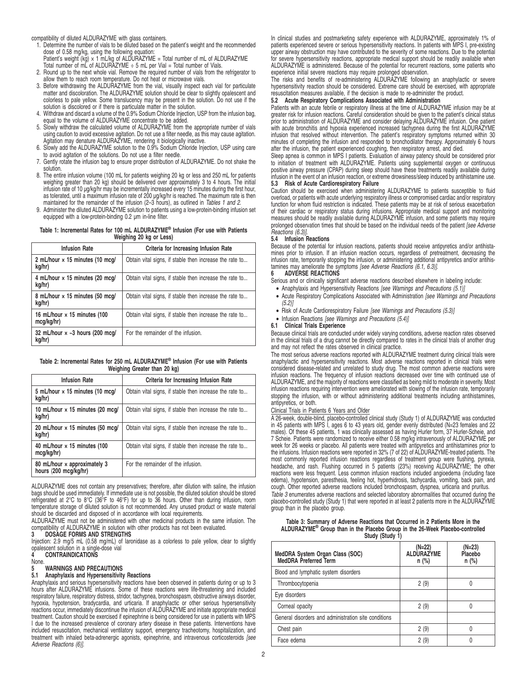compatibility of diluted ALDURAZYME with glass containers.

1. Determine the number of vials to be diluted based on the patient's weight and the recommended dose of 0.58 mg/kg, using the following equation:

Patient's weight (kg) × 1 mL/kg of ALDURAZYME = Total number of mL of ALDURAZYME Total number of mL of ALDURAZYME ÷ 5 mL per Vial = Total number of Vials.

- 2. Round up to the next whole vial. Remove the required number of vials from the refrigerator to
- allow them to reach room temperature. Do not heat or microwave vials. 3. Before withdrawing the ALDURAZYME from the vial, visually inspect each vial for particulate matter and discoloration. The ALDURAZYME solution should be clear to slightly opalescent and colorless to pale yellow. Some translucency may be present in the solution. Do not use if the solution is discolored or if there is particulate matter in the solution.
- 4. Withdraw and discard a volume of the 0.9% Sodium Chloride Injection, USP from the infusion bag, equal to the volume of ALDURAZYME concentrate to be added.
- 5. Slowly withdraw the calculated volume of ALDURAZYME from the appropriate number of vials using caution to avoid excessive agitation. Do not use a filter needle, as this may cause agitation. Agitation may denature ALDURAZYME, rendering it biologically inactive.
- 6. Slowly add the ALDURAZYME solution to the 0.9% Sodium Chloride Injection, USP using care to avoid agitation of the solutions. Do not use a filter needle.
- 7. Gently rotate the infusion bag to ensure proper distribution of ALDURAZYME. Do not shake the solution.
- 8. The entire infusion volume (100 mL for patients weighing 20 kg or less and 250 mL for patients weighing greater than 20 kg) should be delivered over approximately 3 to 4 hours. The initial infusion rate of 10 µg/kg/hr may be incrementally increased every 15 minutes during the first hour,<br>as tolerated, until a maximum infusion rate of 200 µg/kg/hr is reached. The maximum rate is then<br>maintained for the remain
- 9. Administer the diluted ALDURAZYME solution to patients using a low-protein-binding infusion set equipped with a low-protein-binding 0.2 µm in-line filter.

### **Table 1: Incremental Rates for 100 mL ALDURAZYME® Infusion (For use with Patients Weighing 20 kg or Less)**

| <b>Infusion Rate</b>                                 | Criteria for Increasing Infusion Rate                   |  |  |
|------------------------------------------------------|---------------------------------------------------------|--|--|
| 2 mL/hour x 15 minutes (10 mcg/<br>kg/hr)            | Obtain vital signs, if stable then increase the rate to |  |  |
| 4 mL/hour x 15 minutes (20 mcg/<br>kg/hr)            | Obtain vital signs, if stable then increase the rate to |  |  |
| 8 mL/hour x 15 minutes (50 mcg/<br>kg/hr)            | Obtain vital signs, if stable then increase the rate to |  |  |
| 16 mL/hour $\times$ 15 minutes (100<br>mcq/kq/hr)    | Obtain vital signs, if stable then increase the rate to |  |  |
| 32 mL/hour $\times \sim 3$ hours (200 mcg/<br>kg/hr) | For the remainder of the infusion.                      |  |  |

### **Table 2: Incremental Rates for 250 mL ALDURAZYME® Infusion (For use with Patients Weighing Greater than 20 kg)**

| <b>Infusion Rate</b>                                  | Criteria for Increasing Infusion Rate                   |
|-------------------------------------------------------|---------------------------------------------------------|
| 5 mL/hour x 15 minutes (10 mcq/<br>kg/hr)             | Obtain vital signs, if stable then increase the rate to |
| 10 mL/hour $\times$ 15 minutes (20 mcg/<br>kg/hr)     | Obtain vital signs, if stable then increase the rate to |
| 20 mL/hour x 15 minutes (50 mcg/<br>kg/hr)            | Obtain vital signs, if stable then increase the rate to |
| 40 mL/hour $\times$ 15 minutes (100<br>mcg/kg/hr)     | Obtain vital signs, if stable then increase the rate to |
| 80 mL/hour x approximately 3<br>hours (200 mcg/kg/hr) | For the remainder of the infusion.                      |

ALDURAZYME does not contain any preservatives; therefore, after dilution with saline, the infusion bags should be used immediately. If immediate use is not possible, the diluted solution should be stored refrigerated at 2°C to 8°C (36°F to 46°F) for up to 36 hours. Other than during infusion, room temperature storage of diluted solution is not recommended. Any unused product or waste material should be discarded and disposed of in accordance with local requirements.

ALDURAZYME must not be administered with other medicinal products in the same infusion. The compatibility of ALDURAZYME in solution with other products has not been evaluated.<br>3 DOSAGE FORMS AND STRENGTHS

# **3 DOSAGE FORMS AND STRENGTHS**

Injection: 2.9 mg/5 mL (0.58 mg/mL) of laronidase as a colorless to pale yellow, clear to slightly opalescent solution in a single-dose vial **4 CONTRAINDICATIONS**

None.

**5 WARNINGS AND PRECAUTIONS**

# **5.1 Anaphylaxis and Hypersensitivity Reactions**

Anaphylaxis and serious hypersensitivity reactions have been observed in patients during or up to 3 hours after ALDURAZYME infusions. Some of these reactions were life-threatening and included respiratory failure, respiratory distress, stridor, tachypnea, bronchospasm, obstructive airways disorder, hypoxia, hypotension, bradycardia, and urticaria. If anaphylactic or other serious hypersensitivity reactions occur, immediately discontinue the infusion of ALDURAZYME and initiate appropriate medical treatment. Caution should be exercised if epinephrine is being considered for use in patients with MPS I due to the increased prevalence of coronary artery disease in these patients. Interventions have included resuscitation, mechanical ventilatory support, emergency tracheotomy, hospitalization, and treatment with inhaled beta-adrenergic agonists, epinephrine, and intravenous corticosteroids [see Adverse Reactions (6)].

In clinical studies and postmarketing safety experience with ALDURAZYME, approximately 1% of patients experienced severe or serious hypersensitivity reactions. In patients with MPS I, pre-existing upper airway obstruction may have contributed to the severity of some reactions. Due to the potential for severe hypersensitivity reactions, appropriate medical support should be readily available when ALDURAZYME is administered. Because of the potential for recurrent reactions, some patients who experience initial severe reactions may require prolonged observation.

The risks and benefits of re-administering ALDURAZYME following an anaphylactic or severe hypersensitivity reaction should be considered. Extreme care should be exercised, with appropriate resuscitation measures available, if the decision is made to re-administer the product.

# **5.2 Acute Respiratory Complications Associated with Administration**

Patients with an acute febrile or respiratory illness at the time of ALDURAZYME infusion may be at greater risk for infusion reactions. Careful consideration should be given to the patient's clinical status<br>prior to administration of ALDURAZYME and consider delaying ALDURAZYME infusion. One patient<br>with acute bronchitis infusion that resolved without intervention. The patient's respiratory symptoms returned within 30 minutes of completing the infusion and responded to bronchodilator therapy. Approximately 6 hours after the infusion, the patient experienced coughing, then respiratory arrest, and died.

Sleep apnea is common in MPS I patients. Evaluation of airway patency should be considered prior to initiation of treatment with ALDURAZYME. Patients using supplemental oxygen or continuous positive airway pressure (CPAP) during sleep should have these treatments readily available during infusion in the event of an infusion reaction, or extreme drowsiness/sleep induced by antihistamine use. **5.3 Risk of Acute Cardiorespiratory Failure**

Caution should be exercised when administering ALDURAZYME to patients susceptible to fluid overload, or patients with acute underlying respiratory illness or compromised cardiac and/or respiratory function for whom fluid restriction is indicated. These patients may be at risk of serious exacerbation of their cardiac or respiratory status during infusions. Appropriate medical support and monitoring measures should be readily available during ALDURAZYME infusion, and some patients may require prolonged observation times that should be based on the individual needs of the patient [see Adverse Reactions (6.3)].

### **5.4 Infusion Reactions**

Because of the potential for infusion reactions, patients should receive antipyretics and/or antihistamines prior to infusion. If an infusion reaction occurs, regardless of pretreatment, decreasing the infusion rate, temporarily stopping the infusion, or administering additional antipyretics and/or antihis-<br>tamines may ameliorate the symptoms *[see Adverse Reactions (6.1, 6.3)]*.

# **6 ADVERSE REACTIONS**

- Serious and or clinically significant adverse reactions described elsewhere in labeling include:
- Anaphylaxis and Hypersensitivity Reactions [see Warnings and Precautions (5.1)]
- Acute Respiratory Complications Associated with Administration [see Warnings and Precautions (5.2)]
- Risk of Acute Cardiorespiratory Failure [see Warnings and Precautions (5.3)]
- Infusion Reactions [see Warnings and Precautions (5.4)]

# **6.1 Clinical Trials Experience**

Because clinical trials are conducted under widely varying conditions, adverse reaction rates observed in the clinical trials of a drug cannot be directly compared to rates in the clinical trials of another drug and may not reflect the rates observed in clinical practice.

The most serious adverse reactions reported with ALDURAZYME treatment during clinical trials were anaphylactic and hypersensitivity reactions. Most adverse reactions reported in clinical trials were considered disease-related and unrelated to study drug. The most common adverse reactions were infusion reactions. The frequency of infusion reactions decreased over time with continued use of ALDURAZYME, and the majority of reactions were classified as being mild to moderate in severity. Most infusion reactions requiring intervention were ameliorated with slowing of the infusion rate, temporarily stopping the infusion, with or without administering additional treatments including antihistamines, antipyretics, or both.

### Clinical Trials in Patients 6 Years and Older

A 26-week, double-blind, placebo-controlled clinical study (Study 1) of ALDURAZYME was conducted in 45 patients with MPS I, ages 6 to 43 years old, gender evenly distributed (N=23 females and 22<br>males). Of these 45 patients, 1 was clinically assessed as having Hurler form, 37 Hurler-Scheie, and<br>7 Scheie. Patients were week for 26 weeks or placebo. All patients were treated with antipyretics and antihistamines prior to the infusions. Infusion reactions were reported in 32% (7 of 22) of ALDURAZYME-treated patients. The most commonly reported infusion reactions regardless of treatment group were flushing, pyrexia,<br>headache, and rash. Flushing occurred in 5 patients (23%) receiving ALDURAZYME; the other<br>reactions were less frequent. Less c edema), hypotension, paresthesia, feeling hot, hyperhidrosis, tachycardia, vomiting, back pain, and cough. Other reported adverse reactions included bronchospasm, dyspnea, urticaria and pruritus. Table 3 enumerates adverse reactions and selected laboratory abnormalities that occurred during the placebo-controlled study (Study 1) that were reported in at least 2 patients more in the ALDURAZYME group than in the placebo group.

| Table 3: Summary of Adverse Reactions that Occurred in 2 Patients More in the             |
|-------------------------------------------------------------------------------------------|
| ALDURAZYME <sup>®</sup> Group than in the Placebo Group in the 26-Week Placebo-controlled |
| Study (Study 1)                                                                           |

| MedDRA System Organ Class (SOC)<br>MedDRA Preferred Term | (N=22)<br>ALDURAZYME<br>$n$ (%) | (N=23)<br>Placebo<br>$n$ (%) |
|----------------------------------------------------------|---------------------------------|------------------------------|
| Blood and lymphatic system disorders                     |                                 |                              |
| Thrombocytopenia                                         | 2(9)                            |                              |
| Eye disorders                                            |                                 |                              |
| Corneal opacity                                          | 2(9)                            | Λ                            |
| General disorders and administration site conditions     |                                 |                              |
| Chest pain                                               | 2(9)                            | Λ                            |
| Face edema                                               | 2(9)                            |                              |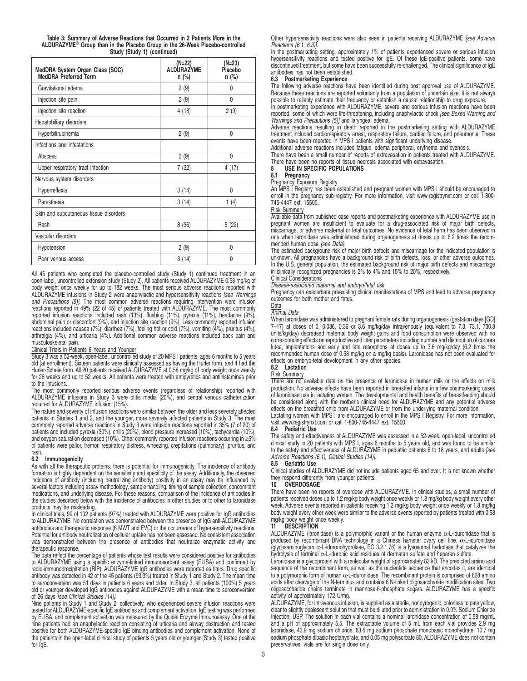| Table 3: Summary of Adverse Reactions that Occurred in 2 Patients More in the             |  |  |  |  |
|-------------------------------------------------------------------------------------------|--|--|--|--|
| ALDURAZYME <sup>®</sup> Group than in the Placebo Group in the 26-Week Placebo-controlled |  |  |  |  |
| Study (Study 1) (continued)                                                               |  |  |  |  |

| MedDRA System Organ Class (SOC)<br>MedDRA Preferred Term | (N=22)<br><b>ALDURAZYME</b><br>$n$ (%) | (N=23)<br>Placebo<br>n (%) |
|----------------------------------------------------------|----------------------------------------|----------------------------|
| Gravitational edema                                      | 2(9)                                   | 0                          |
| Injection site pain                                      | 2(9)                                   | 0                          |
| Injection site reaction                                  | 4(18)                                  | 2(9)                       |
| Hepatobiliary disorders                                  |                                        |                            |
| Hyperbilirubinemia                                       | 2(9)                                   | 0                          |
| Infections and infestations                              |                                        |                            |
| Abscess                                                  | 2(9)                                   | 0                          |
| Upper respiratory tract infection                        | 7(32)                                  | 4(17)                      |
| Nervous system disorders                                 |                                        |                            |
| Hyperreflexia                                            | 3(14)                                  | $\Omega$                   |
| Paresthesia                                              | 3(14)                                  | 1 $(4)$                    |
| Skin and subcutaneous tissue disorders                   |                                        |                            |
| Rash                                                     | 8(36)                                  | 5(22)                      |
| Vascular disorders                                       |                                        |                            |
| Hypotension                                              | 2(9)                                   | 0                          |
| Poor venous access                                       | 3(14)                                  | 0                          |

All 45 patients who completed the placebo-controlled study (Study 1) continued treatment in an open-label, uncontrolled extension study (Study 2). All patients received ALDURAZYME 0.58 mg/kg of body weight once weekly for up to 182 weeks. The most serious adverse reactions reported with ALDURAZYME infusions in Study 2 were anaphylactic and hypersensitivity reactions [see Warnings and Precautions (5)]. The most common adverse reactions requiring intervention were infusion reactions reported in 49% (22 of 45) of patients treated with ALDURAZYME. The most commonly reported infusion reactions included rash (13%), flushing (11%), pyrexia (11%), headache (9%), abdominal pain or discomfort (9%), and injection site reaction (9%). Less commonly reported infusion reactions included nausea (7%), diarrhea (7%), feeling hot or cold (7%), vomiting (4%), pruritus (4%), arthralgia (4%), and urticaria (4%). Additional common adverse reactions included back pain and musculoskeletal pain.

Clinical Trials in Patients 6 Years and Younger Study 3 was a 52-week, open-label, uncontrolled study of 20 MPS I patients, ages 6 months to 5 years old (at enrollment). Sixteen patients were clinically assessed as having the Hurler form, and 4 had the Hurler-Scheie form. All 20 patients received ALDURAZYME at 0.58 mg/kg of body weight once weekly for 26 weeks and up to 52 weeks. All patients were treated with antipyretics and antihistamines prior to the infusions.

The most commonly reported serious adverse events (regardless of relationship) reported with ALDURAZYME infusions in Study 3 were otitis media (20%), and central venous catheterization required for ALDURAZYME infusion (15%).

The nature and severity of infusion reactions were similar between the older and less severely affected patients in Studies 1 and 2, and the younger, more severely affected patients in Study 3. The most commonly reported adverse reactions in Study 3 were infusion reactions reported in 35% (7 of 20) of patients and included pyrexia (30%), chills (20%), blood pressure increased (10%), tachycardia (10%), and oxygen saturation decreased (10%). Other commonly reported infusion reactions occurring in ≥5% of patients were pallor, tremor, respiratory distress, wheezing, crepitations (pulmonary), pruritus, and rash.

# **6.2 Immunogenicity**

As with all the therapeutic proteins, there is potential for immunogenicity. The incidence of antibody formation is highly dependent on the sensitivity and specificity of the assay. Additionally, the observed incidence of antibody (including neutralizing antibody) positivity in an assay may be influenced by several factors including assay methodology, sample handling, timing of sample collection, concomitant medications, and underlying disease. For these reasons, comparison of the incidence of antibodies in the studies described below with the incidence of antibodies in other studies or to other to laronidase products may be misleading.

In clinical trials, 99 of 102 patients (97%) treated with ALDURAZYME were positive for IgG antibodies to ALDURAZYME. No correlation was demonstrated between the presence of IgG anti-ALDURAZYME antibodies and therapeutic response (6 MWT and FVC) or the occurrence of hypersensitivity reactions. Potential for antibody neutralization of cellular uptake has not been assessed. No consistent association was demonstrated between the presence of antibodies that neutralize enzymatic activity and therapeutic response.

The data reflect the percentage of patients whose test results were considered positive for antibodies to ALDURAZYME using a specific enzyme-linked immunosorbent assay (ELISA) and confirmed by radio-immunoprecipitation (RIP). ALDURAZYME IgG antibodies were reported as titers. Drug specific antibody was detected in 42 of the 45 patients (93.3%) treated in Study 1 and Study 2. The mean time to seroconversion was 51 days in patients 6 years and older. In Study 3, all patients (100%) 5 years old or younger developed IgG antibodies against ALDURAZYME with a mean time to seroconversion

of 26 days *[see Clinical Studies (14)].*<br>Nine patients in Study 1 and Study 2, collectively, who experienced severe infusion reactions were tested for ALDURAZYME-specific IgE antibodies and complement activation. IgE testing was performed by ELISA, and complement activation was measured by the Quidel Enzyme Immunoassay. One of the nine patients had an anaphylactic reaction consisting of urticaria and airway obstruction and tested positive for both ALDURAZYME-specific IgE binding antibodies and complement activation. None of the patients in the open-label clinical study of patients 5 years old or younger (Study 3) tested positive for IgE.

Other hypersensitivity reactions were also seen in patients receiving ALDURAZYME [see Adverse Reactions (6.1, 6.3)].

In the postmarketing setting, approximately 1% of patients experienced severe or serious infusion hypersensitivity reactions and tested positive for IgE. Of these IgE-positive patients, some have discontinued treatment, but some have been successfully re-challenged. The clinical significance of IgE antibodies has not been established.

### **6.3 Postmarketing Experience**

The following adverse reactions have been identified during post approval use of ALDURAZYME. Because these reactions are reported voluntarily from a population of uncertain size, it is not always possible to reliably estimate their frequency or establish a causal relationship to drug exposure.

In postmarketing experience with ALDURAZYME, severe and serious infusion reactions have been reported, some of which were life-threatening, including anaphylactic shock *[see Boxed Warning and*<br>Warnings and Precautions (5)] and laryngeal edema.

Adverse reactions resulting in death reported in the postmarketing setting with ALDURAZYME treatment included cardiorespiratory arrest, respiratory failure, cardiac failure, and pneumonia. These events have been reported in MPS I patients with significant underlying disease.

Additional adverse reactions included fatigue, edema peripheral, erythema and cyanosis.

There have been a small number of reports of extravasation in patients treated with ALDURAZYME. There have been no reports of tissue necrosis associated with extravasation.<br>8 USE IN SPECIFIC POPULATIONS

# **8 USE IN SPECIFIC POPULATIONS**

# **8.1 Pregnancy**

# Pregnancy Exposure Registry

An MPS I Registry has been established and pregnant women with MPS I should be encouraged to enroll in the pregnancy sub-registry. For more information, visit www.registrynxt.com or call 1-800- 745-4447 ext. 15500.

### Risk Summary

Available data from published case reports and postmarketing experience with ALDURAZYME use in pregnant women are insufficient to evaluate for a drug-associated risk of major birth defects, miscarriage, or adverse maternal or fetal outcomes. No evidence of fetal harm has been observed in rats when laronidase was administered during organogenesis at doses up to 6.2 times the recommended human dose (see Data).

The estimated background risk of major birth defects and miscarriage for the indicated population is unknown. All pregnancies have a background risk of birth defects, loss, or other adverse outcomes. In the U.S. general population, the estimated background risk of major birth defects and miscarriage in clinically recognized pregnancies is 2% to 4% and 15% to 20%, respectively.

# Clinical Considerations

Disease-associated maternal and embryo/fetal risk

Pregnancy can exacerbate preexisting clinical manifestations of MPS and lead to adverse pregnancy outcomes for both mother and fetus.

# Data

Animal Data

When laronidase was administered to pregnant female rats during organogenesis (gestation days [GD] 7-17) at doses of 0, 0.036, 0.36 or 3.6 mg/kg/day intravenously (equivalent to 7.3, 73.1, 730.8 units/kg/day) decreased maternal body weight gains and food consumption were observed with no corresponding effects on reproductive and litter parameters including number and distribution of corpora lutea, implantations and early and late resorptions at doses up to 3.6 mg/kg/day (6.2 times the recommended human dose of 0.58 mg/kg on a mg/kg basis). Laronidase has not been evaluated for effects on embryo-fetal development in any other species.

# **8.2 Lactation**

# Risk Summary

There are no available data on the presence of laronidase in human milk or the effects on milk production. No adverse effects have been reported in breastfed infants in a few postmarketing cases of laronidase use in lactating women. The developmental and health benefits of breastfeeding should be considered along with the mother's clinical need for ALDURAZYME and any potential adverse effects on the breastfed child from ALDURAZYME or from the underlying maternal condition.

Lactating women with MPS I are encouraged to enroll in the MPS I Registry. For more information, visit www.registrynxt.com or call 1-800-745-4447 ext. 15500.

### **8.4 Pediatric Use**

The safety and effectiveness of ALDURAZYME was assessed in a 52-week, open-label, uncontrolled clinical study in 20 patients with MPS I, ages 6 months to 5 years old, and was found to be similar<br>to the safety and effectiveness of ALDURAZYME in pediatric patients 6 to 18 years, and adults *[see* Adverse Reactions (6.1), Clinical Studies (14)].

### **8.5 Geriatric Use**

Clinical studies of ALDURAZYME did not include patients aged 65 and over. It is not known whether they respond differently from younger patients.

### **10 OVERDOSAGE**

There have been no reports of overdose with ALDURAZYME. In clinical studies, a small number of patients received doses up to 1.2 mg/kg body weight once weekly or 1.8 mg/kg body weight every other week**.** Adverse events reported in patients receiving 1.2 mg/kg body weight once weekly or 1.8 mg/kg body weight every other week were similar to the adverse events reported by patients treated with 0.58 mg/kg body weight once weekly.<br>11 DESCRIPTION

### **11 DESCRIPTION**

ALDURAZYME (laronidase) is a polymorphic variant of the human enzyme  $\alpha$ -L-iduronidase that is produced by recombinant DNA technology in a Chinese hamster ovary cell line. α-L-iduronidase (glycosaminoglycan α-L-iduronohydrolase, EC 3.2.1.76) is a lysosomal hydrolase that catalyzes the hydrolysis of terminal α-L-iduronic acid residues of dermatan sulfate and heparan sulfate.

Laronidase is a glycoprotein with a molecular weight of approximately 83 kD. The predicted amino acid sequence of the recombinant form, as well as the nucleotide sequence that encodes it, are identical to a polymorphic form of human α-L-iduronidase. The recombinant protein is comprised of 628 amino acids after cleavage of the N-terminus and contains 6 N-linked oligosaccharide modification sites. Two oligosaccharide chains terminate in mannose-6-phosphate sugars. ALDURAZYME has a specific activity of approximately 172 U/mg.

ALDURAZYME, for intravenous infusion, is supplied as a sterile, nonpyrogenic, colorless to pale yellow, clear to slightly opalescent solution that must be diluted prior to administration in 0.9% Sodium Chloride Injection, USP. The solution in each vial contains a nominal laronidase concentration of 0.58 mg/mL and a pH of approximately 5.5. The extractable volume of 5 mL from each vial provides 2.9 mg laronidase, 43.9 mg sodium chloride, 63.5 mg sodium phosphate monobasic monohydrate, 10.7 mg sodium phosphate dibasic heptahydrate, and 0.05 mg polysorbate 80. ALDURAZYME does not contain preservatives; vials are for single dose only.